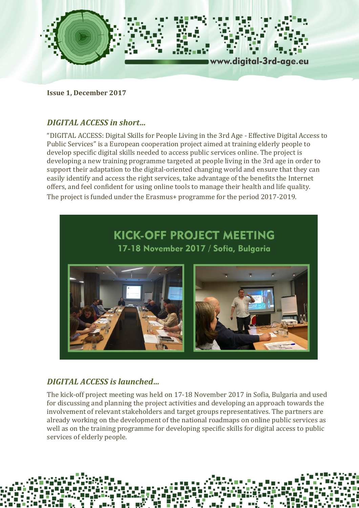

**Issue 1, December 2017**

### *DIGITAL ACCESS in short…*

"DIGITAL ACCESS: Digital Skills for People Living in the 3rd Age - Effective Digital Access to Public Services" is a European cooperation project aimed at training elderly people to develop specific digital skills needed to access public services online. The project is developing a new training programme targeted at people living in the 3rd age in order to support their adaptation to the digital-oriented changing world and ensure that they can easily identify and access the right services, take advantage of the benefits the Internet offers, and feel confident for using online tools to manage their health and life quality. The project is funded under the Erasmus+ programme for the period 2017-2019.



# *DIGITAL ACCESS is launched…*

The kick-off project meeting was held on 17-18 November 2017 in Sofia, Bulgaria and used for discussing and planning the project activities and developing an approach towards the involvement of relevant stakeholders and target groups representatives. The partners are already working on the development of the national roadmaps on online public services as well as on the training programme for developing specific skills for digital access to public services of elderly people.